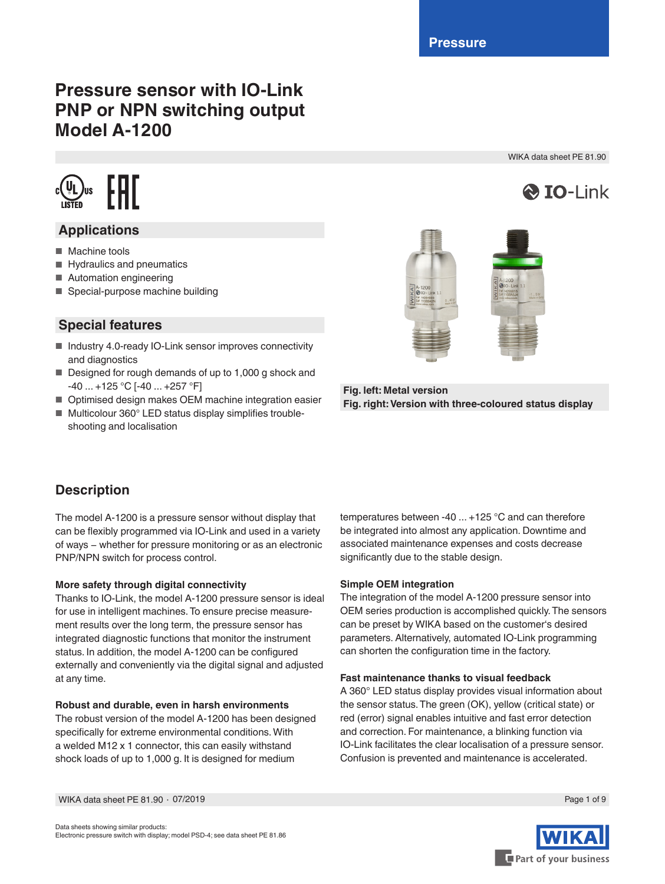# **Pressure sensor with IO-Link PNP or NPN switching output Model A-1200**

 $c(\mathbf{U}_L)_{\text{us}}$   $\left[\begin{array}{c} \mathbf{H} \\ \mathbf{H} \end{array}\right]$ 

### **Applications**

- Machine tools
- Hydraulics and pneumatics
- Automation engineering
- Special-purpose machine building

### **Special features**

- Industry 4.0-ready IO-Link sensor improves connectivity and diagnostics
- Designed for rough demands of up to 1,000 g shock and -40 ... +125 °C [-40 ... +257 °F]
- Optimised design makes OEM machine integration easier
- Multicolour 360° LED status display simplifies troubleshooting and localisation



**Fig. left: Metal version Fig. right: Version with three-coloured status display**

### **Description**

The model A-1200 is a pressure sensor without display that can be flexibly programmed via IO-Link and used in a variety of ways − whether for pressure monitoring or as an electronic PNP/NPN switch for process control.

#### **More safety through digital connectivity**

Thanks to IO-Link, the model A-1200 pressure sensor is ideal for use in intelligent machines. To ensure precise measurement results over the long term, the pressure sensor has integrated diagnostic functions that monitor the instrument status. In addition, the model A-1200 can be configured externally and conveniently via the digital signal and adjusted at any time.

#### **Robust and durable, even in harsh environments**

The robust version of the model A-1200 has been designed specifically for extreme environmental conditions. With a welded M12 x 1 connector, this can easily withstand shock loads of up to 1,000 g. It is designed for medium

temperatures between -40 ... +125 °C and can therefore be integrated into almost any application. Downtime and associated maintenance expenses and costs decrease significantly due to the stable design.

#### **Simple OEM integration**

The integration of the model A-1200 pressure sensor into OEM series production is accomplished quickly. The sensors can be preset by WIKA based on the customer's desired parameters. Alternatively, automated IO-Link programming can shorten the configuration time in the factory.

#### **Fast maintenance thanks to visual feedback**

A 360° LED status display provides visual information about the sensor status. The green (OK), yellow (critical state) or red (error) signal enables intuitive and fast error detection and correction. For maintenance, a blinking function via IO-Link facilitates the clear localisation of a pressure sensor. Confusion is prevented and maintenance is accelerated.



Part of your business

 $\bigotimes$  IO-I ink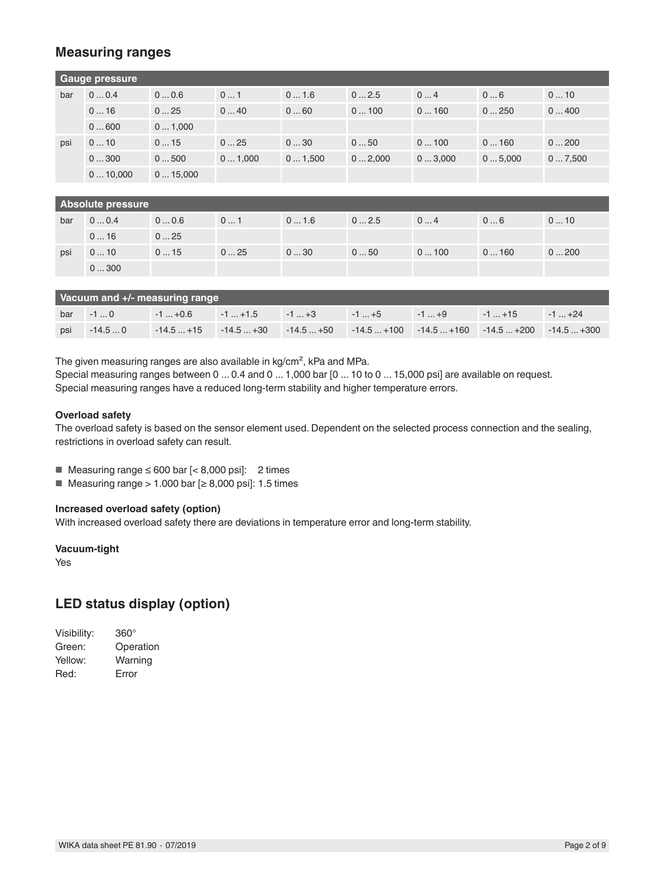### **Measuring ranges**

|     | Gauge pressure |         |        |        |        |        |        |        |
|-----|----------------|---------|--------|--------|--------|--------|--------|--------|
| bar | 00.4           | 00.6    | 01     | 01.6   | 02.5   | 04     | 06     | 010    |
|     | 016            | 025     | 040    | 060    | 0100   | 0160   | 0250   | 0400   |
|     | 0600           | 01,000  |        |        |        |        |        |        |
| psi | 010            | 015     | 025    | 030    | 050    | 0100   | 0160   | 0200   |
|     | 0300           | 0500    | 01,000 | 01,500 | 02,000 | 03,000 | 05,000 | 07,500 |
|     | 010,000        | 015,000 |        |        |        |        |        |        |
|     |                |         |        |        |        |        |        |        |

| <b>Absolute pressure</b> |      |               |     |      |      |      |      |      |
|--------------------------|------|---------------|-----|------|------|------|------|------|
| bar                      | 00.4 | $0 \dots 0.6$ | 01  | 01.6 | 02.5 | 04   | 06   | 010  |
|                          | 016  | 025           |     |      |      |      |      |      |
| psi                      | 010  | 015           | 025 | 030  | 050  | 0100 | 0160 | 0200 |
|                          | 0300 |               |     |      |      |      |      |      |

| Vacuum and +/- measuring range |  |  |  |  |  |                                                                                           |  |  |
|--------------------------------|--|--|--|--|--|-------------------------------------------------------------------------------------------|--|--|
|                                |  |  |  |  |  | bar 10   1+0.6   1+1.5   1+3   1+5   1+9   1+15   1+24                                    |  |  |
| psi                            |  |  |  |  |  | $-14.50$ $-14.5+15$ $-14.5+30$ $-14.5+50$ $-14.5+100$ $-14.5+160$ $-14.5+200$ $-14.5+300$ |  |  |

The given measuring ranges are also available in kg/cm<sup>2</sup>, kPa and MPa.

Special measuring ranges between 0 ... 0.4 and 0 ... 1,000 bar [0 ... 10 to 0 ... 15,000 psi] are available on request. Special measuring ranges have a reduced long-term stability and higher temperature errors.

#### **Overload safety**

The overload safety is based on the sensor element used. Dependent on the selected process connection and the sealing, restrictions in overload safety can result.

■ Measuring range  $≤ 600$  bar  $[≤ 8,000$  psi]: 2 times

■ Measuring range > 1.000 bar  $[≥ 8,000$  psi]: 1.5 times

#### **Increased overload safety (option)**

With increased overload safety there are deviations in temperature error and long-term stability.

#### **Vacuum-tight**

Yes

### **LED status display (option)**

| Visibility: | 360°      |
|-------------|-----------|
| Green:      | Operation |
| Yellow:     | Warning   |
| Red:        | Error     |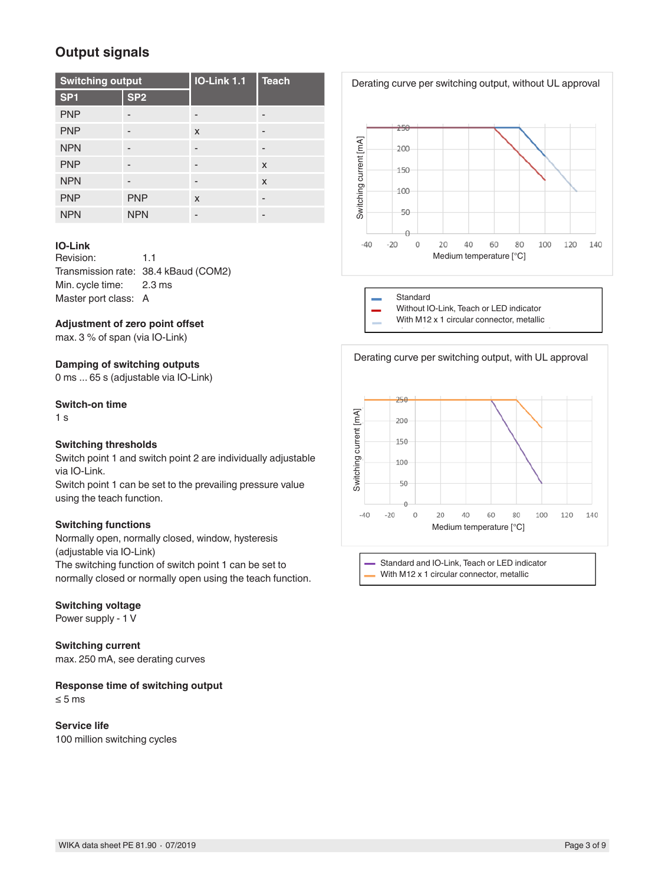# **Output signals**

| <b>Switching output</b> |                 | <b>IO-Link 1.1</b>        | <b>Teach</b> |  |
|-------------------------|-----------------|---------------------------|--------------|--|
| SP <sub>1</sub>         | SP <sub>2</sub> |                           |              |  |
| <b>PNP</b>              | -               |                           |              |  |
| <b>PNP</b>              | -               | X                         | -            |  |
| <b>NPN</b>              |                 |                           |              |  |
| <b>PNP</b>              |                 |                           | $\mathsf{x}$ |  |
| <b>NPN</b>              |                 |                           | $\mathsf{x}$ |  |
| <b>PNP</b>              | <b>PNP</b>      | $\boldsymbol{\mathsf{x}}$ | -            |  |
| <b>NPN</b>              | <b>NPN</b>      |                           |              |  |

#### **IO-Link**

Revision: 1.1 Transmission rate: 38.4 kBaud (COM2) Min. cycle time: 2.3 ms Master port class: A

#### **Adjustment of zero point offset**

max. 3 % of span (via IO-Link)

#### **Damping of switching outputs**

0 ms ... 65 s (adjustable via IO-Link)

#### **Switch-on time**

1 s

#### **Switching thresholds**

Switch point 1 and switch point 2 are individually adjustable via IO-Link.

Switch point 1 can be set to the prevailing pressure value using the teach function.

#### **Switching functions**

Normally open, normally closed, window, hysteresis (adjustable via IO-Link)

The switching function of switch point 1 can be set to normally closed or normally open using the teach function.

#### **Switching voltage**

Power supply - 1 V

**Switching current** max. 250 mA, see derating curves

**Response time of switching output**

≤ 5 ms

**Service life** 100 million switching cycles



Derating curve per switching output, without UL approval







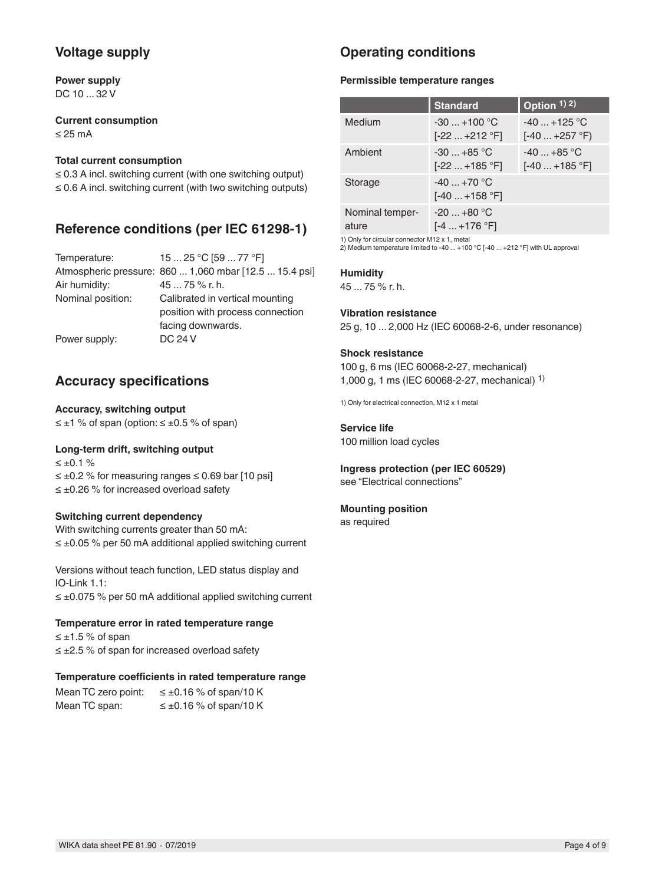## **Voltage supply**

**Power supply** DC 10 ... 32 V

**Current consumption** ≤ 25 mA

#### **Total current consumption**

≤ 0.3 A incl. switching current (with one switching output) ≤ 0.6 A incl. switching current (with two switching outputs)

### **Reference conditions (per IEC 61298-1)**

| Temperature:      | 15  25 °C [59  77 °F]                                  |
|-------------------|--------------------------------------------------------|
|                   | Atmospheric pressure: 860  1,060 mbar [12.5  15.4 psi] |
| Air humidity:     | 45  75 % r. h.                                         |
| Nominal position: | Calibrated in vertical mounting                        |
|                   | position with process connection                       |
|                   | facing downwards.                                      |
| Power supply:     | DC 24 V                                                |

### **Accuracy specifications**

**Accuracy, switching output**  $\leq \pm 1$  % of span (option:  $\leq \pm 0.5$  % of span)

#### **Long-term drift, switching output**

 $≤ ±0.1 %$ ≤ ±0.2 % for measuring ranges ≤ 0.69 bar [10 psi] ≤ ±0.26 % for increased overload safety

#### **Switching current dependency**

With switching currents greater than 50 mA: ≤ ±0.05 % per 50 mA additional applied switching current

Versions without teach function, LED status display and IO-Link 1.1: ≤ ±0.075 % per 50 mA additional applied switching current

#### **Temperature error in rated temperature range**

 $≤ ±1.5 %$  of span ≤ ±2.5 % of span for increased overload safety

#### **Temperature coefficients in rated temperature range**

| Mean TC zero point: | $\leq \pm 0.16$ % of span/10 K |
|---------------------|--------------------------------|
| Mean TC span:       | $\leq \pm 0.16$ % of span/10 K |

# **Operating conditions**

#### **Permissible temperature ranges**

|                          | <b>Standard</b>                | Option $1)$ 2)                  |
|--------------------------|--------------------------------|---------------------------------|
| Medium                   | $-30+100$ °C<br>$[-22+212$ °F] | $-40$ +125 °C<br>$[-40+257 °F]$ |
| Ambient                  | $-30+85$ °C<br>$[-22+185 °F]$  | $-40+85$ °C<br>$[-40+185 °F]$   |
| Storage                  | $-40+70$ °C<br>[-40  +158 °F]  |                                 |
| Nominal temper-<br>ature | $-20+80 °C$<br>$[-4  +176 °F]$ |                                 |

1) Only for circular connector M12 x 1, metal

2) Medium temperature limited to -40 ... +100 °C [-40 ... +212 °F] with UL approval

#### **Humidity**

45 ... 75 % r. h.

#### **Vibration resistance**

25 g, 10 ... 2,000 Hz (IEC 60068-2-6, under resonance)

#### **Shock resistance**

100 g, 6 ms (IEC 60068-2-27, mechanical) 1,000 g, 1 ms (IEC 60068-2-27, mechanical) 1)

1) Only for electrical connection, M12 x 1 metal

### **Service life**

100 million load cycles

# **Ingress protection (per IEC 60529)**

see "Electrical connections"

#### **Mounting position**

as required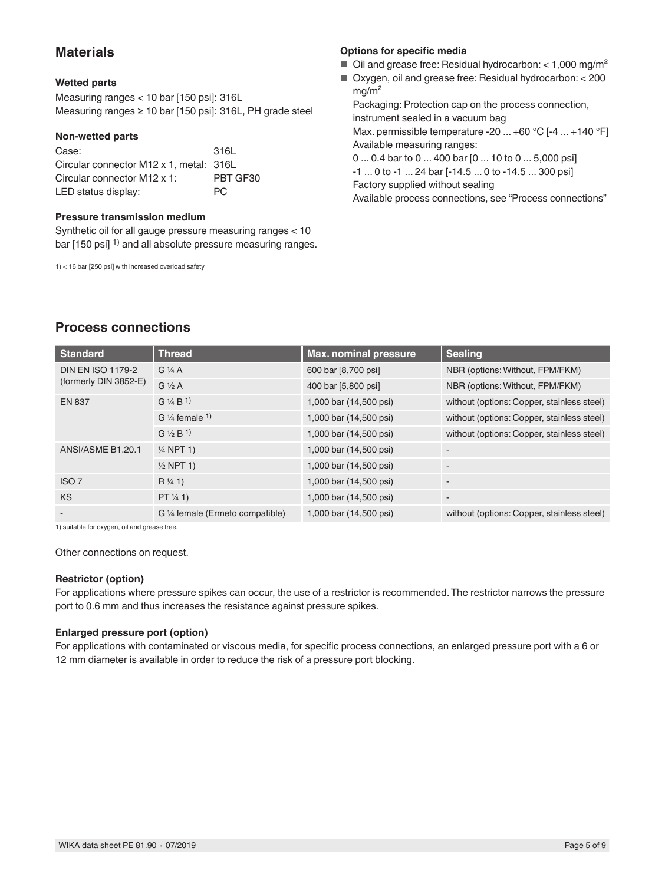### **Materials**

#### **Wetted parts**

Measuring ranges < 10 bar [150 psi]: 316L Measuring ranges ≥ 10 bar [150 psi]: 316L, PH grade steel

#### **Non-wetted parts**

| Case:                                   | 316L     |
|-----------------------------------------|----------|
| Circular connector M12 x 1, metal: 316L |          |
| Circular connector M12 x 1:             | PBT GF30 |
| LED status display:                     | PC.      |

#### **Pressure transmission medium**

Synthetic oil for all gauge pressure measuring ranges < 10 bar [150 psi] <sup>1)</sup> and all absolute pressure measuring ranges.

1) < 16 bar [250 psi] with increased overload safety

#### **Options for specific media**

- $\blacksquare$  Oil and grease free: Residual hydrocarbon: < 1,000 mg/m<sup>2</sup>
- Oxygen, oil and grease free: Residual hydrocarbon: < 200 mg/m² Packaging: Protection cap on the process connection, instrument sealed in a vacuum bag Max. permissible temperature -20 ... +60 °C [-4 ... +140 °F] Available measuring ranges:

0 ... 0.4 bar to 0 ... 400 bar [0 ... 10 to 0 ... 5,000 psi] -1 ... 0 to -1 ... 24 bar [-14.5 ... 0 to -14.5 ... 300 psi] Factory supplied without sealing Available process connections, see "Process connections"

**Process connections**

| <b>Standard</b>          | <b>Thread</b>                        | <b>Max. nominal pressure</b> | <b>Sealing</b>                             |
|--------------------------|--------------------------------------|------------------------------|--------------------------------------------|
| <b>DIN EN ISO 1179-2</b> | $G\frac{1}{4}A$                      | 600 bar [8,700 psi]          | NBR (options: Without, FPM/FKM)            |
| (formerly DIN 3852-E)    | $G\frac{1}{2}A$                      | 400 bar [5,800 psi]          | NBR (options: Without, FPM/FKM)            |
| <b>EN 837</b>            | $G\$ /4 B <sup>1</sup> )             | 1,000 bar (14,500 psi)       | without (options: Copper, stainless steel) |
|                          | G $\frac{1}{4}$ female $\frac{1}{4}$ | 1,000 bar (14,500 psi)       | without (options: Copper, stainless steel) |
|                          | $G \frac{1}{2} B^{1}$                | 1,000 bar (14,500 psi)       | without (options: Copper, stainless steel) |
| ANSI/ASME B1.20.1        | $\frac{1}{4}$ NPT 1)                 | 1,000 bar (14,500 psi)       |                                            |
|                          | $\frac{1}{2}$ NPT 1)                 | 1,000 bar (14,500 psi)       |                                            |
| ISO <sub>7</sub>         | $R\frac{1}{4}1$                      | 1,000 bar (14,500 psi)       |                                            |
| <b>KS</b>                | PT 1/4 1)                            | 1,000 bar (14,500 psi)       |                                            |
| $\overline{\phantom{a}}$ | G 1/4 female (Ermeto compatible)     | 1,000 bar (14,500 psi)       | without (options: Copper, stainless steel) |

1) suitable for oxygen, oil and grease free.

Other connections on request.

#### **Restrictor (option)**

For applications where pressure spikes can occur, the use of a restrictor is recommended. The restrictor narrows the pressure port to 0.6 mm and thus increases the resistance against pressure spikes.

#### **Enlarged pressure port (option)**

For applications with contaminated or viscous media, for specific process connections, an enlarged pressure port with a 6 or 12 mm diameter is available in order to reduce the risk of a pressure port blocking.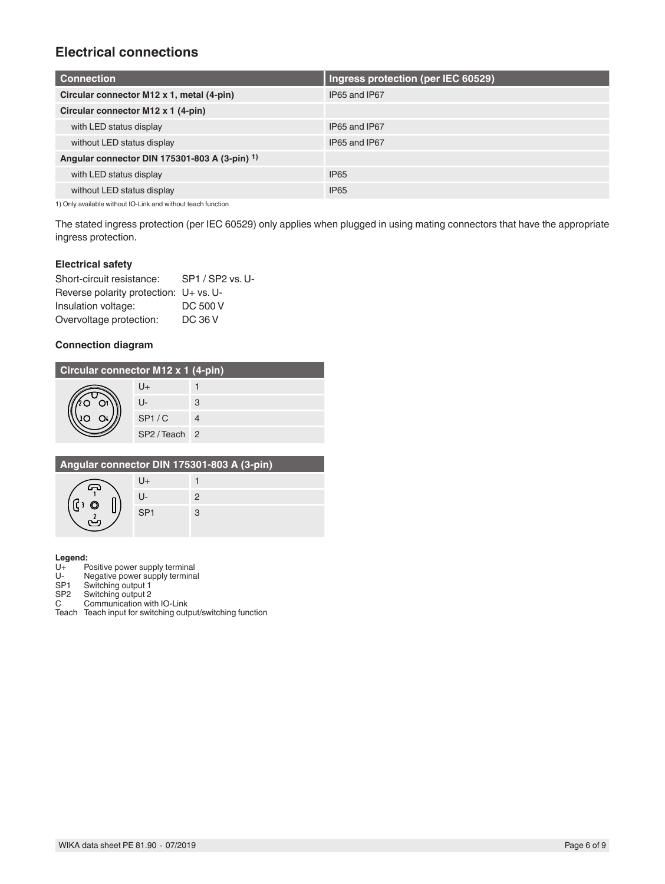# **Electrical connections**

| <b>Connection</b>                             | Ingress protection (per IEC 60529) |
|-----------------------------------------------|------------------------------------|
| Circular connector M12 x 1, metal (4-pin)     | IP65 and IP67                      |
| Circular connector M12 x 1 (4-pin)            |                                    |
| with LED status display                       | IP65 and IP67                      |
| without LED status display                    | IP65 and IP67                      |
| Angular connector DIN 175301-803 A (3-pin) 1) |                                    |
| with LED status display                       | <b>IP65</b>                        |
| without LED status display                    | <b>IP65</b>                        |

1) Only available without IO-Link and without teach function

The stated ingress protection (per IEC 60529) only applies when plugged in using mating connectors that have the appropriate ingress protection.

#### **Electrical safety**

| Short-circuit resistance:              | SP1 / SP2 vs. U- |
|----------------------------------------|------------------|
| Reverse polarity protection: U+ vs. U- |                  |
| Insulation voltage:                    | DC 500 V         |
| Overvoltage protection:                | <b>DC 36 V</b>   |

#### **Connection diagram**

| Circular connector M12 x 1 (4-pin) |             |   |  |
|------------------------------------|-------------|---|--|
|                                    | U+          |   |  |
|                                    | IJ-         | 3 |  |
|                                    | SP1/C       |   |  |
|                                    | SP2/Teach 2 |   |  |

| Angular connector DIN 175301-803 A (3-pin) |                 |   |
|--------------------------------------------|-----------------|---|
|                                            |                 |   |
|                                            | U-              | 2 |
|                                            | SP <sub>1</sub> |   |
|                                            |                 |   |

# **Legend:**

- U+ Positive power supply terminal
- U- Negative power supply terminal
- SP1 Switching output 1<br>SP2 Switching output 2

SP2 Switching output 2<br>C Communication wit Communication with IO-Link

Teach Teach input for switching output/switching function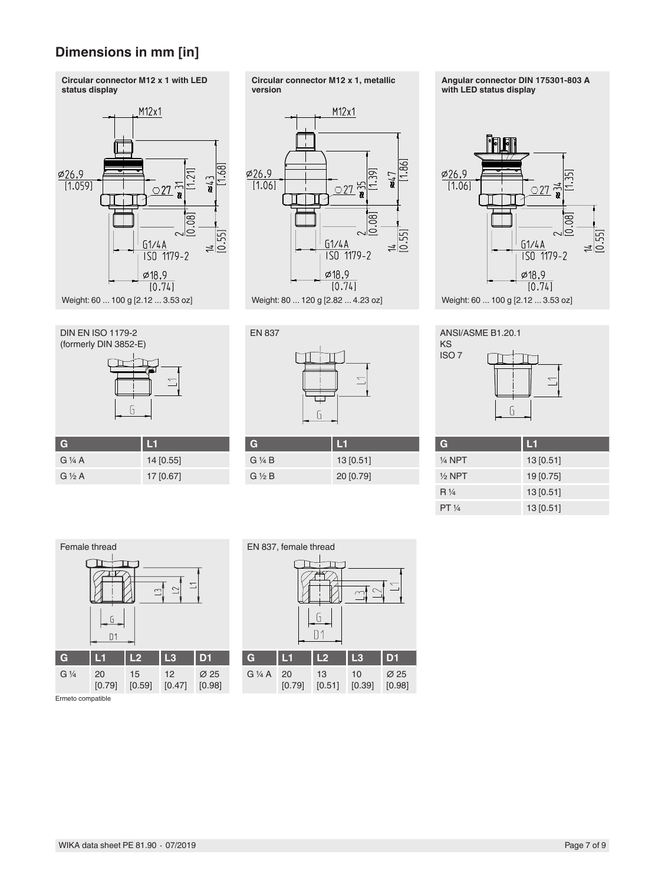# **Dimensions in mm [in]**



Weight: 60 ... 100 g [2.12 ... 3.53 oz]





| G                   | H         |
|---------------------|-----------|
| $G\mathrel{\vee} A$ | 14 [0.55] |
| $G\frac{1}{2}A$     | 17 [0.67] |







| G                     | Ш         |
|-----------------------|-----------|
| $G\mathrel{\vee} A B$ | 13 [0.51] |
| $G\frac{1}{2}B$       | 20 [0.79] |







| - 1               | --       |
|-------------------|----------|
| $\frac{1}{4}$ NPT | 13[0.51] |
| $\frac{1}{2}$ NPT | 19[0.75] |
| $R\frac{1}{4}$    | 13[0.51] |
| PT 1/4            | 13[0.51] |





Ermeto compatible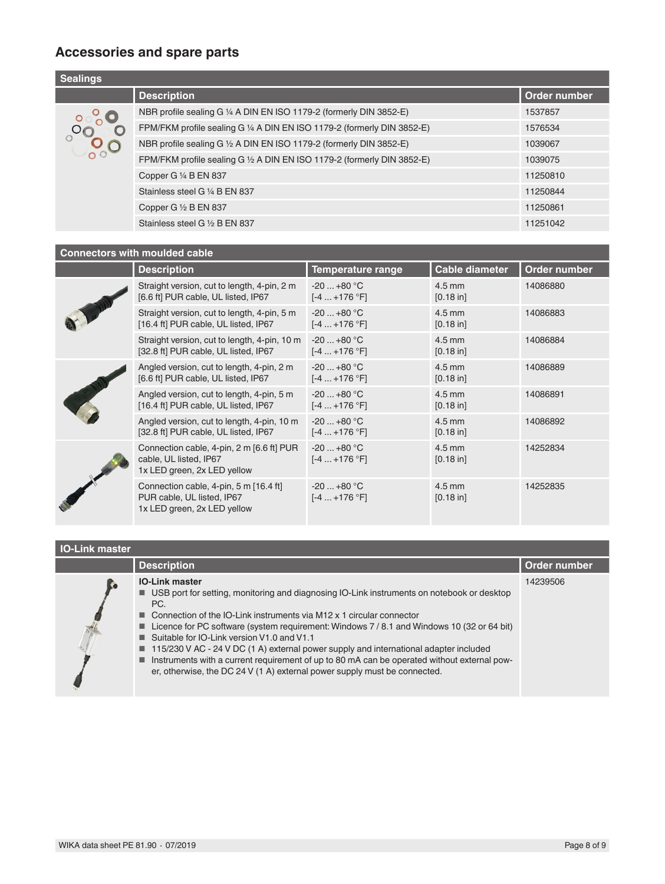# **Accessories and spare parts**

| <b>Sealings</b> |                                                                         |              |
|-----------------|-------------------------------------------------------------------------|--------------|
|                 | <b>Description</b>                                                      | Order number |
|                 | NBR profile sealing G 1/4 A DIN EN ISO 1179-2 (formerly DIN 3852-E)     | 1537857      |
|                 | FPM/FKM profile sealing G 1/4 A DIN EN ISO 1179-2 (formerly DIN 3852-E) | 1576534      |
|                 | NBR profile sealing G 1/2 A DIN EN ISO 1179-2 (formerly DIN 3852-E)     | 1039067      |
|                 | FPM/FKM profile sealing G 1/2 A DIN EN ISO 1179-2 (formerly DIN 3852-E) | 1039075      |
|                 | Copper G 1/4 B EN 837                                                   | 11250810     |
|                 | Stainless steel G 1/4 B EN 837                                          | 11250844     |
|                 | Copper G $\frac{1}{2}$ B EN 837                                         | 11250861     |
|                 | Stainless steel G 1/2 B EN 837                                          | 11251042     |

### **Connectors with moulded cable**

|  | <b>Description</b>                                                                                  | Temperature range            | <b>Cable diameter</b> | Order number |
|--|-----------------------------------------------------------------------------------------------------|------------------------------|-----------------------|--------------|
|  | Straight version, cut to length, 4-pin, 2 m<br>[6.6 ft] PUR cable, UL listed, IP67                  | $-20+80$ °C<br>$[-4+176 °F]$ | $4.5$ mm<br>[0.18 in] | 14086880     |
|  | Straight version, cut to length, 4-pin, 5 m<br>[16.4 ft] PUR cable, UL listed, IP67                 | $-20+80$ °C<br>$[-4+176 °F]$ | $4.5$ mm<br>[0.18 in] | 14086883     |
|  | Straight version, cut to length, 4-pin, 10 m<br>[32.8 ft] PUR cable, UL listed, IP67                | $-20+80$ °C<br>$[-4+176 °F]$ | $4.5$ mm<br>[0.18 in] | 14086884     |
|  | Angled version, cut to length, 4-pin, 2 m<br>[6.6 ft] PUR cable, UL listed, IP67                    | $-20+80 °C$<br>$[-4+176 °F]$ | $4.5$ mm<br>[0.18 in] | 14086889     |
|  | Angled version, cut to length, 4-pin, 5 m<br>[16.4 ft] PUR cable, UL listed, IP67                   | $-20+80$ °C<br>$[-4+176 °F]$ | $4.5$ mm<br>[0.18 in] | 14086891     |
|  | Angled version, cut to length, 4-pin, 10 m<br>[32.8 ft] PUR cable, UL listed, IP67                  | $-20+80$ °C<br>$[-4+176 °F]$ | $4.5$ mm<br>[0.18 in] | 14086892     |
|  | Connection cable, 4-pin, 2 m [6.6 ft] PUR<br>cable, UL listed, IP67<br>1x LED green, 2x LED yellow  | $-20+80$ °C<br>$[-4+176 °F]$ | $4.5$ mm<br>[0.18 in] | 14252834     |
|  | Connection cable, 4-pin, 5 m [16.4 ft]<br>PUR cable, UL listed, IP67<br>1x LED green, 2x LED yellow | $-20+80$ °C<br>$[-4+176 °F]$ | $4.5$ mm<br>[0.18 in] | 14252835     |

### **IO-Link master**

| ık master |                                                                                                                                                                                                                                                                                                                                                                                                                                                                                                                                                                                                                                                                |              |
|-----------|----------------------------------------------------------------------------------------------------------------------------------------------------------------------------------------------------------------------------------------------------------------------------------------------------------------------------------------------------------------------------------------------------------------------------------------------------------------------------------------------------------------------------------------------------------------------------------------------------------------------------------------------------------------|--------------|
|           | <b>Description</b>                                                                                                                                                                                                                                                                                                                                                                                                                                                                                                                                                                                                                                             | Order number |
|           | <b>IO-Link master</b><br>■ USB port for setting, monitoring and diagnosing IO-Link instruments on notebook or desktop<br>PC.<br>$\blacksquare$ Connection of the IO-Link instruments via M12 x 1 circular connector<br><b>Let Licence for PC software (system requirement: Windows 7/8.1 and Windows 10 (32 or 64 bit)</b><br>■ Suitable for IO-Link version V1.0 and V1.1<br>$\blacksquare$ 115/230 V AC - 24 V DC (1 A) external power supply and international adapter included<br>Instruments with a current requirement of up to 80 mA can be operated without external pow-<br>er, otherwise, the DC 24 V (1 A) external power supply must be connected. | 14239506     |
|           |                                                                                                                                                                                                                                                                                                                                                                                                                                                                                                                                                                                                                                                                |              |